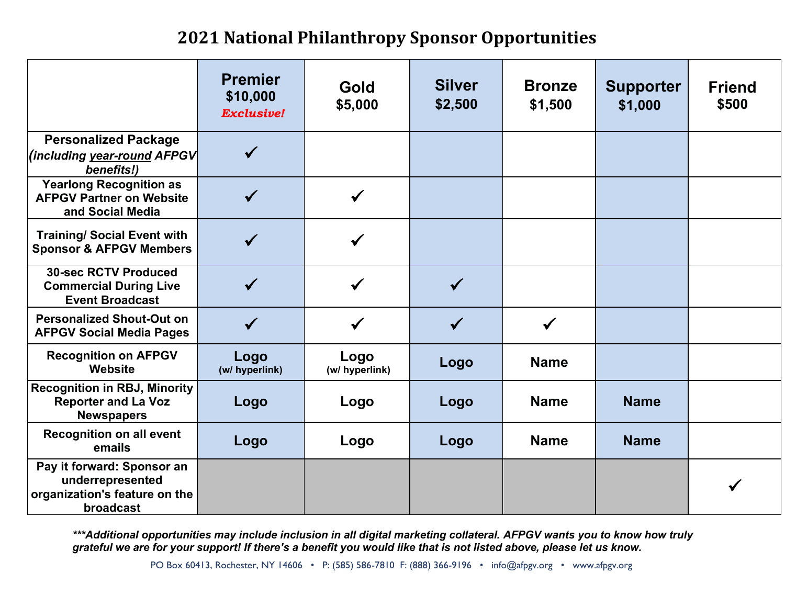## **2021 National Philanthropy Sponsor Opportunities**

|                                                                                              | <b>Premier</b><br>\$10,000<br><b>Exclusive!</b> | Gold<br>\$5,000        | <b>Silver</b><br>\$2,500 | <b>Bronze</b><br>\$1,500 | <b>Supporter</b><br>\$1,000 | <b>Friend</b><br>\$500 |
|----------------------------------------------------------------------------------------------|-------------------------------------------------|------------------------|--------------------------|--------------------------|-----------------------------|------------------------|
| <b>Personalized Package</b><br>(including year-round AFPGV<br>benefits!)                     |                                                 |                        |                          |                          |                             |                        |
| <b>Yearlong Recognition as</b><br><b>AFPGV Partner on Website</b><br>and Social Media        |                                                 | $\checkmark$           |                          |                          |                             |                        |
| <b>Training/ Social Event with</b><br><b>Sponsor &amp; AFPGV Members</b>                     |                                                 |                        |                          |                          |                             |                        |
| <b>30-sec RCTV Produced</b><br><b>Commercial During Live</b><br><b>Event Broadcast</b>       |                                                 |                        | $\checkmark$             |                          |                             |                        |
| <b>Personalized Shout-Out on</b><br><b>AFPGV Social Media Pages</b>                          |                                                 |                        | $\checkmark$             |                          |                             |                        |
| <b>Recognition on AFPGV</b><br>Website                                                       | Logo<br>(w/ hyperlink)                          | Logo<br>(w/ hyperlink) | Logo                     | <b>Name</b>              |                             |                        |
| <b>Recognition in RBJ, Minority</b><br><b>Reporter and La Voz</b><br><b>Newspapers</b>       | Logo                                            | Logo                   | Logo                     | <b>Name</b>              | <b>Name</b>                 |                        |
| <b>Recognition on all event</b><br>emails                                                    | Logo                                            | Logo                   | Logo                     | <b>Name</b>              | <b>Name</b>                 |                        |
| Pay it forward: Sponsor an<br>underrepresented<br>organization's feature on the<br>broadcast |                                                 |                        |                          |                          |                             |                        |

*\*\*\*Additional opportunities may include inclusion in all digital marketing collateral. AFPGV wants you to know how truly grateful we are for your support! If there's a benefit you would like that is not listed above, please let us know.*